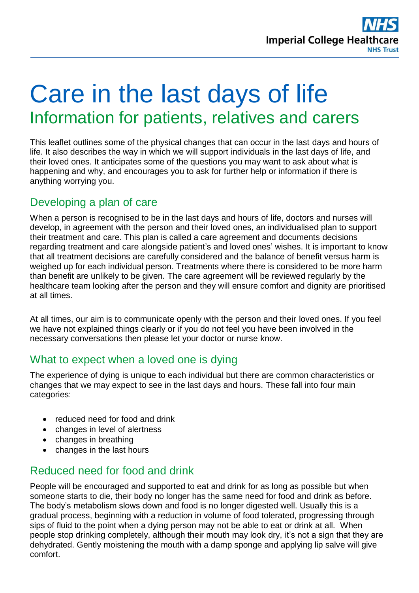

# Care in the last days of life Information for patients, relatives and carers

This leaflet outlines some of the physical changes that can occur in the last days and hours of life. It also describes the way in which we will support individuals in the last days of life, and their loved ones. It anticipates some of the questions you may want to ask about what is happening and why, and encourages you to ask for further help or information if there is anything worrying you.

# Developing a plan of care

When a person is recognised to be in the last days and hours of life, doctors and nurses will develop, in agreement with the person and their loved ones, an individualised plan to support their treatment and care. This plan is called a care agreement and documents decisions regarding treatment and care alongside patient's and loved ones' wishes. It is important to know that all treatment decisions are carefully considered and the balance of benefit versus harm is weighed up for each individual person. Treatments where there is considered to be more harm than benefit are unlikely to be given. The care agreement will be reviewed regularly by the healthcare team looking after the person and they will ensure comfort and dignity are prioritised at all times.

At all times, our aim is to communicate openly with the person and their loved ones. If you feel we have not explained things clearly or if you do not feel you have been involved in the necessary conversations then please let your doctor or nurse know.

### What to expect when a loved one is dying

The experience of dying is unique to each individual but there are common characteristics or changes that we may expect to see in the last days and hours. These fall into four main categories:

- reduced need for food and drink
- changes in level of alertness
- changes in breathing
- changes in the last hours

# Reduced need for food and drink

People will be encouraged and supported to eat and drink for as long as possible but when someone starts to die, their body no longer has the same need for food and drink as before. The body's metabolism slows down and food is no longer digested well. Usually this is a gradual process, beginning with a reduction in volume of food tolerated, progressing through sips of fluid to the point when a dying person may not be able to eat or drink at all. When people stop drinking completely, although their mouth may look dry, it's not a sign that they are dehydrated. Gently moistening the mouth with a damp sponge and applying lip salve will give comfort.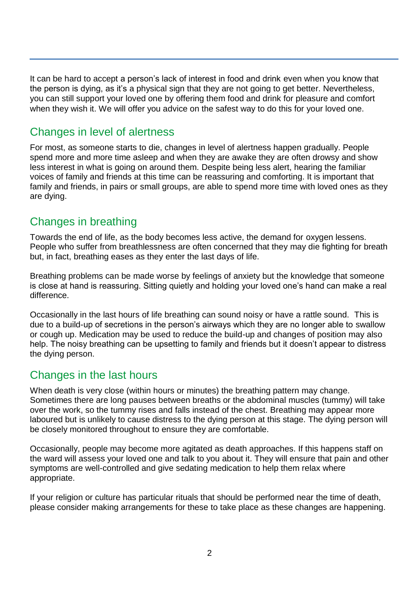It can be hard to accept a person's lack of interest in food and drink even when you know that the person is dying, as it's a physical sign that they are not going to get better. Nevertheless, you can still support your loved one by offering them food and drink for pleasure and comfort when they wish it. We will offer you advice on the safest way to do this for your loved one.

## Changes in level of alertness

For most, as someone starts to die, changes in level of alertness happen gradually. People spend more and more time asleep and when they are awake they are often drowsy and show less interest in what is going on around them. Despite being less alert, hearing the familiar voices of family and friends at this time can be reassuring and comforting. It is important that family and friends, in pairs or small groups, are able to spend more time with loved ones as they are dying.

# Changes in breathing

Towards the end of life, as the body becomes less active, the demand for oxygen lessens. People who suffer from breathlessness are often concerned that they may die fighting for breath but, in fact, breathing eases as they enter the last days of life.

Breathing problems can be made worse by feelings of anxiety but the knowledge that someone is close at hand is reassuring. Sitting quietly and holding your loved one's hand can make a real difference.

Occasionally in the last hours of life breathing can sound noisy or have a rattle sound. This is due to a build-up of secretions in the person's airways which they are no longer able to swallow or cough up. Medication may be used to reduce the build-up and changes of position may also help. The noisy breathing can be upsetting to family and friends but it doesn't appear to distress the dying person.

# Changes in the last hours

When death is very close (within hours or minutes) the breathing pattern may change. Sometimes there are long pauses between breaths or the abdominal muscles (tummy) will take over the work, so the tummy rises and falls instead of the chest. Breathing may appear more laboured but is unlikely to cause distress to the dying person at this stage. The dying person will be closely monitored throughout to ensure they are comfortable.

Occasionally, people may become more agitated as death approaches. If this happens staff on the ward will assess your loved one and talk to you about it. They will ensure that pain and other symptoms are well-controlled and give sedating medication to help them relax where appropriate.

If your religion or culture has particular rituals that should be performed near the time of death, please consider making arrangements for these to take place as these changes are happening.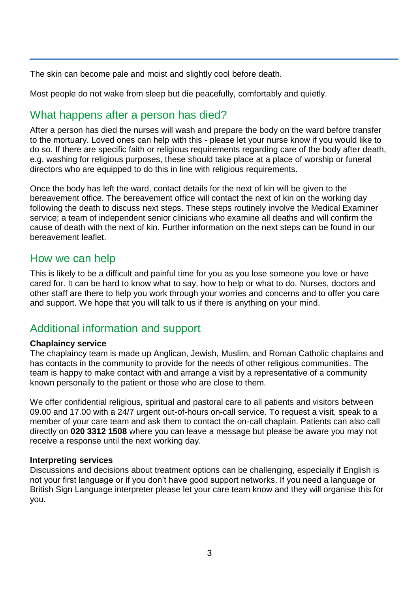The skin can become pale and moist and slightly cool before death.

Most people do not wake from sleep but die peacefully, comfortably and quietly.

# What happens after a person has died?

After a person has died the nurses will wash and prepare the body on the ward before transfer to the mortuary. Loved ones can help with this - please let your nurse know if you would like to do so. If there are specific faith or religious requirements regarding care of the body after death, e.g. washing for religious purposes, these should take place at a place of worship or funeral directors who are equipped to do this in line with religious requirements.

Once the body has left the ward, contact details for the next of kin will be given to the bereavement office. The bereavement office will contact the next of kin on the working day following the death to discuss next steps. These steps routinely involve the Medical Examiner service; a team of independent senior clinicians who examine all deaths and will confirm the cause of death with the next of kin. Further information on the next steps can be found in our bereavement leaflet.

### How we can help

This is likely to be a difficult and painful time for you as you lose someone you love or have cared for. It can be hard to know what to say, how to help or what to do. Nurses, doctors and other staff are there to help you work through your worries and concerns and to offer you care and support. We hope that you will talk to us if there is anything on your mind.

# Additional information and support

#### **Chaplaincy service**

The chaplaincy team is made up Anglican, Jewish, Muslim, and Roman Catholic chaplains and has contacts in the community to provide for the needs of other religious communities. The team is happy to make contact with and arrange a visit by a representative of a community known personally to the patient or those who are close to them.

We offer confidential religious, spiritual and pastoral care to all patients and visitors between 09.00 and 17.00 with a 24/7 urgent out-of-hours on-call service. To request a visit, speak to a member of your care team and ask them to contact the on-call chaplain. Patients can also call directly on **020 3312 1508** where you can leave a message but please be aware you may not receive a response until the next working day.

#### **Interpreting services**

Discussions and decisions about treatment options can be challenging, especially if English is not your first language or if you don't have good support networks. If you need a language or British Sign Language interpreter please let your care team know and they will organise this for you.